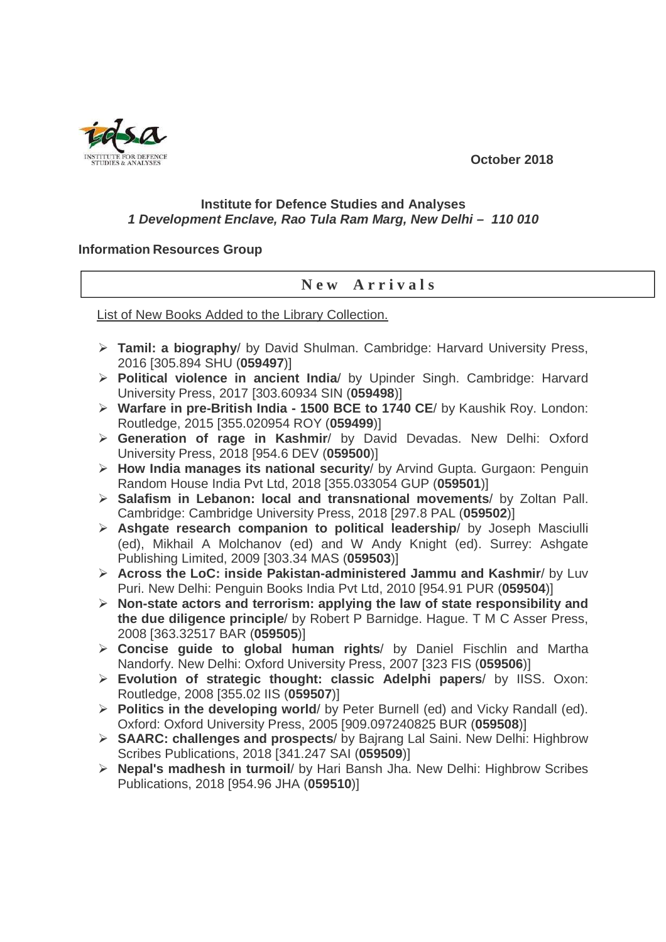**October 2018** 



## **Institute for Defence Studies and Analyses 1 Development Enclave, Rao Tula Ram Marg, New Delhi – 110 010**

## **Information Resources Group**

## **N e w A r r i v a l s**

List of New Books Added to the Library Collection.

- **Tamil: a biography**/ by David Shulman. Cambridge: Harvard University Press, 2016 [305.894 SHU (**059497**)]
- **Political violence in ancient India**/ by Upinder Singh. Cambridge: Harvard University Press, 2017 [303.60934 SIN (**059498**)]
- **Warfare in pre-British India 1500 BCE to 1740 CE**/ by Kaushik Roy. London: Routledge, 2015 [355.020954 ROY (**059499**)]
- **Generation of rage in Kashmir**/ by David Devadas. New Delhi: Oxford University Press, 2018 [954.6 DEV (**059500**)]
- **How India manages its national security**/ by Arvind Gupta. Gurgaon: Penguin Random House India Pvt Ltd, 2018 [355.033054 GUP (**059501**)]
- **Salafism in Lebanon: local and transnational movements**/ by Zoltan Pall. Cambridge: Cambridge University Press, 2018 [297.8 PAL (**059502**)]
- **Ashgate research companion to political leadership**/ by Joseph Masciulli (ed), Mikhail A Molchanov (ed) and W Andy Knight (ed). Surrey: Ashgate Publishing Limited, 2009 [303.34 MAS (**059503**)]
- **Across the LoC: inside Pakistan-administered Jammu and Kashmir**/ by Luv Puri. New Delhi: Penguin Books India Pvt Ltd, 2010 [954.91 PUR (**059504**)]
- **Non-state actors and terrorism: applying the law of state responsibility and the due diligence principle**/ by Robert P Barnidge. Hague. T M C Asser Press, 2008 [363.32517 BAR (**059505**)]
- **Concise guide to global human rights**/ by Daniel Fischlin and Martha Nandorfy. New Delhi: Oxford University Press, 2007 [323 FIS (**059506**)]
- **Evolution of strategic thought: classic Adelphi papers**/ by IISS. Oxon: Routledge, 2008 [355.02 IIS (**059507**)]
- **Politics in the developing world**/ by Peter Burnell (ed) and Vicky Randall (ed). Oxford: Oxford University Press, 2005 [909.097240825 BUR (**059508**)]
- **SAARC: challenges and prospects**/ by Bajrang Lal Saini. New Delhi: Highbrow Scribes Publications, 2018 [341.247 SAI (**059509**)]
- **Nepal's madhesh in turmoil**/ by Hari Bansh Jha. New Delhi: Highbrow Scribes Publications, 2018 [954.96 JHA (**059510**)]